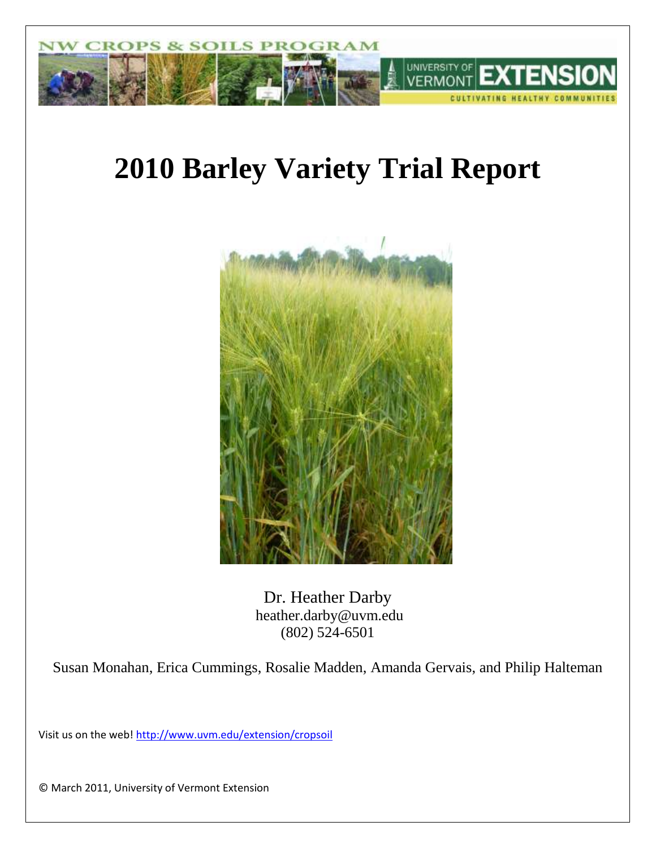

# **2010 Barley Variety Trial Report**



Dr. Heather Darby heather.darby@uvm.edu (802) 524-6501

Susan Monahan, Erica Cummings, Rosalie Madden, Amanda Gervais, and Philip Halteman

Visit us on the web!<http://www.uvm.edu/extension/cropsoil>

© March 2011, University of Vermont Extension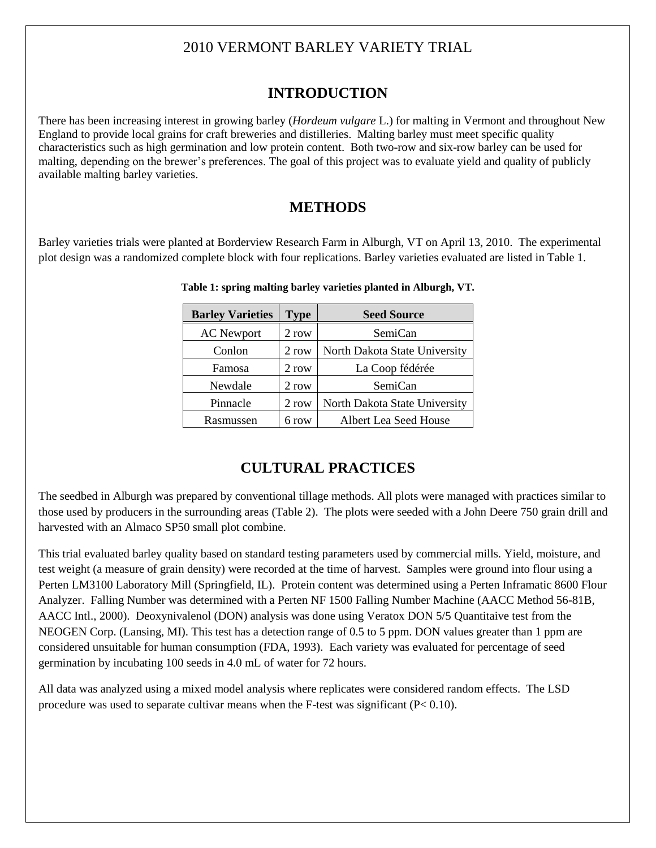## 2010 VERMONT BARLEY VARIETY TRIAL

## **INTRODUCTION**

There has been increasing interest in growing barley (*Hordeum vulgare* L.) for malting in Vermont and throughout New England to provide local grains for craft breweries and distilleries. Malting barley must meet specific quality characteristics such as high germination and low protein content. Both two-row and six-row barley can be used for malting, depending on the brewer's preferences. The goal of this project was to evaluate yield and quality of publicly available malting barley varieties.

## **METHODS**

Barley varieties trials were planted at Borderview Research Farm in Alburgh, VT on April 13, 2010. The experimental plot design was a randomized complete block with four replications. Barley varieties evaluated are listed in Table 1.

| <b>Barley Varieties</b> | <b>Type</b> | <b>Seed Source</b>            |
|-------------------------|-------------|-------------------------------|
| <b>AC</b> Newport       | 2 row       | SemiCan                       |
| Conlon                  | 2 row       | North Dakota State University |
| Famosa                  | 2 row       | La Coop fédérée               |
| Newdale                 | 2 row       | SemiCan                       |
| Pinnacle                | 2 row       | North Dakota State University |
| Rasmussen               | 6 row       | Albert Lea Seed House         |

 **Table 1: spring malting barley varieties planted in Alburgh, VT.**

# **CULTURAL PRACTICES**

The seedbed in Alburgh was prepared by conventional tillage methods. All plots were managed with practices similar to those used by producers in the surrounding areas (Table 2). The plots were seeded with a John Deere 750 grain drill and harvested with an Almaco SP50 small plot combine.

This trial evaluated barley quality based on standard testing parameters used by commercial mills. Yield, moisture, and test weight (a measure of grain density) were recorded at the time of harvest. Samples were ground into flour using a Perten LM3100 Laboratory Mill (Springfield, IL). Protein content was determined using a Perten Inframatic 8600 Flour Analyzer. Falling Number was determined with a Perten NF 1500 Falling Number Machine (AACC Method 56-81B, AACC Intl., 2000). Deoxynivalenol (DON) analysis was done using Veratox DON 5/5 Quantitaive test from the NEOGEN Corp. (Lansing, MI). This test has a detection range of 0.5 to 5 ppm. DON values greater than 1 ppm are considered unsuitable for human consumption (FDA, 1993). Each variety was evaluated for percentage of seed germination by incubating 100 seeds in 4.0 mL of water for 72 hours.

All data was analyzed using a mixed model analysis where replicates were considered random effects. The LSD procedure was used to separate cultivar means when the F-test was significant  $(P< 0.10)$ .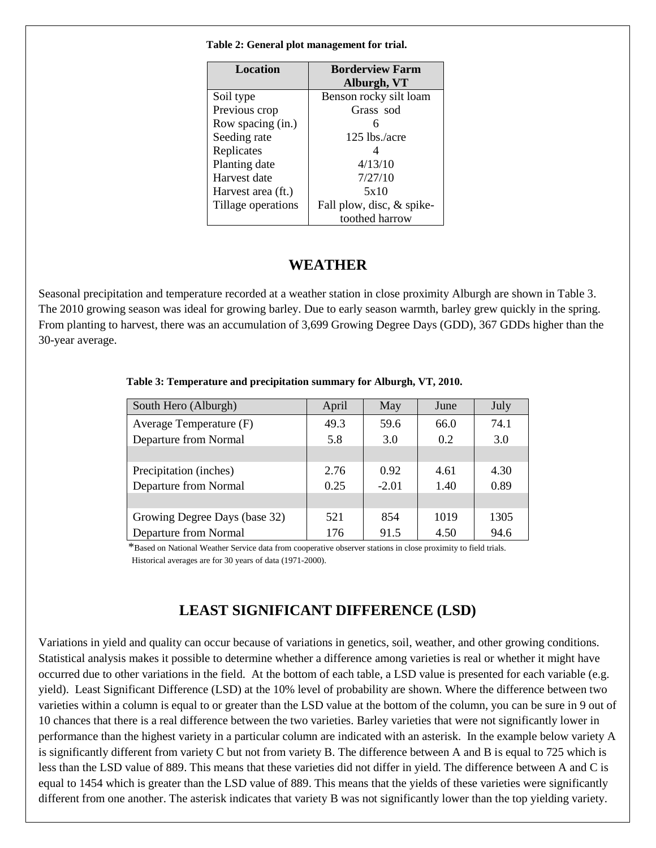| Location           | <b>Borderview Farm</b>    |  |  |
|--------------------|---------------------------|--|--|
|                    | Alburgh, VT               |  |  |
| Soil type          | Benson rocky silt loam    |  |  |
| Previous crop      | Grass sod                 |  |  |
| Row spacing (in.)  | 6                         |  |  |
| Seeding rate       | $125$ lbs./acre           |  |  |
| Replicates         | 4                         |  |  |
| Planting date      | 4/13/10                   |  |  |
| Harvest date       | 7/27/10                   |  |  |
| Harvest area (ft.) | 5x10                      |  |  |
| Tillage operations | Fall plow, disc, & spike- |  |  |
|                    | toothed harrow            |  |  |

 **Table 2: General plot management for trial.**

#### **WEATHER**

Seasonal precipitation and temperature recorded at a weather station in close proximity Alburgh are shown in Table 3. The 2010 growing season was ideal for growing barley. Due to early season warmth, barley grew quickly in the spring. From planting to harvest, there was an accumulation of 3,699 Growing Degree Days (GDD), 367 GDDs higher than the 30-year average.

| South Hero (Alburgh)          | April | May     | June | July |
|-------------------------------|-------|---------|------|------|
| Average Temperature (F)       | 49.3  | 59.6    | 66.0 | 74.1 |
| Departure from Normal         | 5.8   | 3.0     | 0.2  | 3.0  |
|                               |       |         |      |      |
| Precipitation (inches)        | 2.76  | 0.92    | 4.61 | 4.30 |
| Departure from Normal         | 0.25  | $-2.01$ | 1.40 | 0.89 |
|                               |       |         |      |      |
| Growing Degree Days (base 32) | 521   | 854     | 1019 | 1305 |
| Departure from Normal         | 176   | 91.5    | 4.50 | 94.6 |

 **Table 3: Temperature and precipitation summary for Alburgh, VT, 2010.**

\*Based on National Weather Service data from cooperative observer stations in close proximity to field trials. Historical averages are for 30 years of data (1971-2000).

## **LEAST SIGNIFICANT DIFFERENCE (LSD)**

Variations in yield and quality can occur because of variations in genetics, soil, weather, and other growing conditions. Statistical analysis makes it possible to determine whether a difference among varieties is real or whether it might have occurred due to other variations in the field. At the bottom of each table, a LSD value is presented for each variable (e.g. yield). Least Significant Difference (LSD) at the 10% level of probability are shown. Where the difference between two varieties within a column is equal to or greater than the LSD value at the bottom of the column, you can be sure in 9 out of 10 chances that there is a real difference between the two varieties. Barley varieties that were not significantly lower in performance than the highest variety in a particular column are indicated with an asterisk. In the example below variety A is significantly different from variety C but not from variety B. The difference between A and B is equal to 725 which is less than the LSD value of 889. This means that these varieties did not differ in yield. The difference between A and C is equal to 1454 which is greater than the LSD value of 889. This means that the yields of these varieties were significantly different from one another. The asterisk indicates that variety B was not significantly lower than the top yielding variety.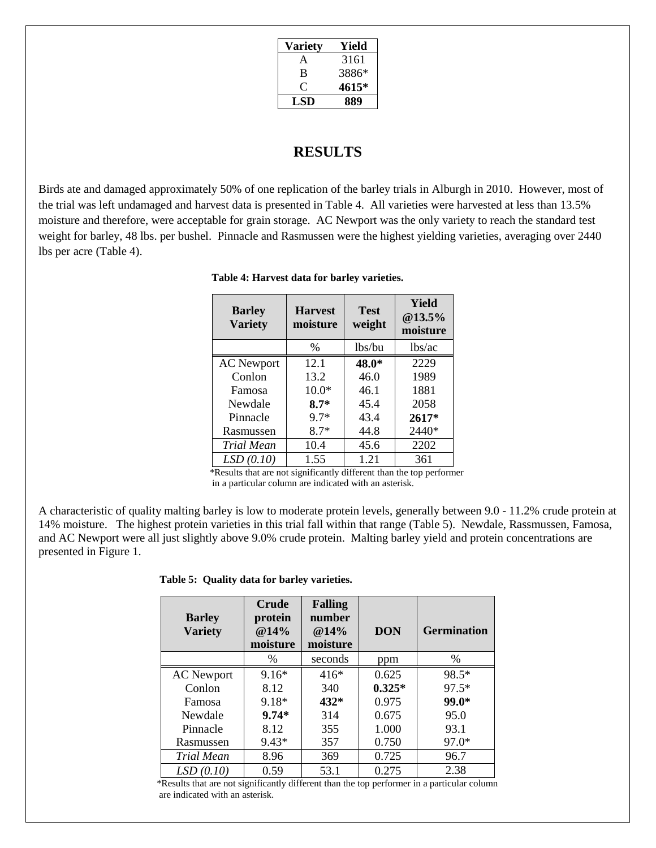| <b>Variety</b> | Yield |
|----------------|-------|
| A              | 3161  |
| B              | 3886* |
| €              | 4615* |
| LSD            | 889   |

#### **RESULTS**

Birds ate and damaged approximately 50% of one replication of the barley trials in Alburgh in 2010. However, most of the trial was left undamaged and harvest data is presented in Table 4. All varieties were harvested at less than 13.5% moisture and therefore, were acceptable for grain storage. AC Newport was the only variety to reach the standard test weight for barley, 48 lbs. per bushel. Pinnacle and Rasmussen were the highest yielding varieties, averaging over 2440 lbs per acre (Table 4).

| <b>Barley</b><br><b>Variety</b> | <b>Harvest</b><br>moisture | <b>Test</b><br>weight | Yield<br>@13.5%<br>moisture |
|---------------------------------|----------------------------|-----------------------|-----------------------------|
|                                 | $\%$                       | lbs/bu                | lbs/ac                      |
| <b>AC</b> Newport               | 12.1                       | 48.0*                 | 2229                        |
| Conlon                          | 13.2                       | 46.0                  | 1989                        |
| Famosa                          | $10.0*$                    | 46.1                  | 1881                        |
| Newdale                         | $8.7*$                     | 45.4                  | 2058                        |
| Pinnacle                        | 9.7*                       | 43.4                  | 2617*                       |
| Rasmussen                       | $8.7*$                     | 44.8                  | 2440*                       |
| Trial Mean                      | 10.4                       | 45.6                  | 2202                        |
| LSD(0.10)                       | 1.55                       | 1.21                  | 361                         |

 **Table 4: Harvest data for barley varieties.**

 \*Results that are not significantly different than the top performer in a particular column are indicated with an asterisk.

A characteristic of quality malting barley is low to moderate protein levels, generally between 9.0 - 11.2% crude protein at 14% moisture. The highest protein varieties in this trial fall within that range (Table 5). Newdale, Rassmussen, Famosa, and AC Newport were all just slightly above 9.0% crude protein. Malting barley yield and protein concentrations are presented in Figure 1.

 **Table 5: Quality data for barley varieties.**

| <b>Barley</b><br><b>Variety</b> | <b>Crude</b><br>protein<br>@14%<br>moisture | <b>Falling</b><br>number<br>@14%<br>moisture | <b>DON</b> | <b>Germination</b> |
|---------------------------------|---------------------------------------------|----------------------------------------------|------------|--------------------|
|                                 | $\%$                                        | seconds                                      | ppm        | $\%$               |
| <b>AC</b> Newport               | $9.16*$                                     | $416*$                                       | 0.625      | 98.5*              |
| Conlon                          | 8.12                                        | 340                                          | $0.325*$   | $97.5*$            |
| Famosa                          | 9.18*                                       | $432*$                                       | 0.975      | 99.0*              |
| Newdale                         | $9.74*$                                     | 314                                          | 0.675      | 95.0               |
| Pinnacle                        | 8.12                                        | 355                                          | 1.000      | 93.1               |
| Rasmussen                       | $9.43*$                                     | 357                                          | 0.750      | $97.0*$            |
| Trial Mean                      | 8.96                                        | 369                                          | 0.725      | 96.7               |
| LSD(0.10)                       | 0.59                                        | 53.1                                         | 0.275      | 2.38               |

 \*Results that are not significantly different than the top performer in a particular column are indicated with an asterisk.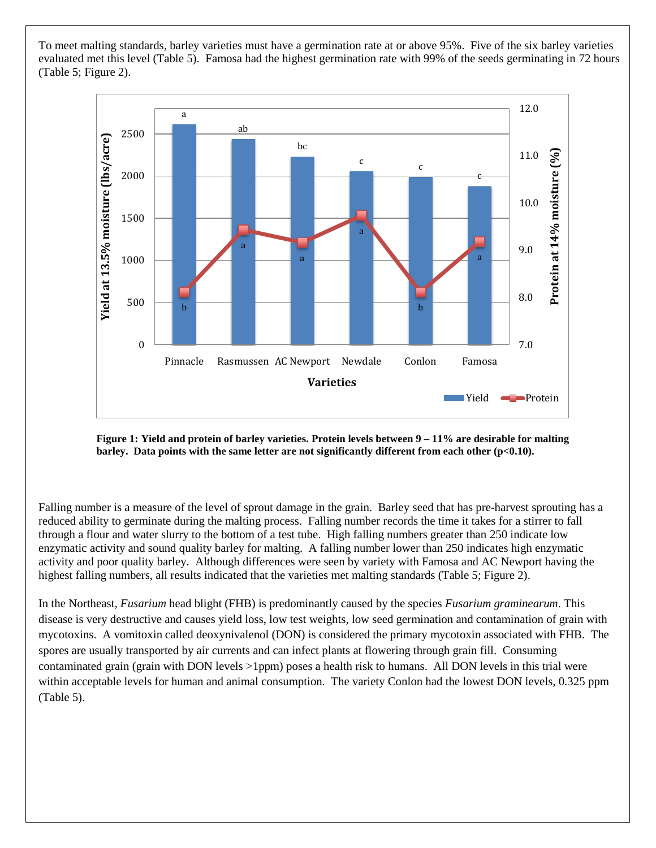To meet malting standards, barley varieties must have a germination rate at or above 95%. Five of the six barley varieties evaluated met this level (Table 5). Famosa had the highest germination rate with 99% of the seeds germinating in 72 hours (Table 5; Figure 2).



**Figure 1: Yield and protein of barley varieties. Protein levels between 9 – 11% are desirable for malting barley. Data points with the same letter are not significantly different from each other (p<0.10).**

Falling number is a measure of the level of sprout damage in the grain. Barley seed that has pre-harvest sprouting has a reduced ability to germinate during the malting process. Falling number records the time it takes for a stirrer to fall through a flour and water slurry to the bottom of a test tube. High falling numbers greater than 250 indicate low enzymatic activity and sound quality barley for malting. A falling number lower than 250 indicates high enzymatic activity and poor quality barley. Although differences were seen by variety with Famosa and AC Newport having the highest falling numbers, all results indicated that the varieties met malting standards (Table 5; Figure 2).

In the Northeast, *Fusarium* head blight (FHB) is predominantly caused by the species *Fusarium graminearum*. This disease is very destructive and causes yield loss, low test weights, low seed germination and contamination of grain with mycotoxins. A vomitoxin called deoxynivalenol (DON) is considered the primary mycotoxin associated with FHB. The spores are usually transported by air currents and can infect plants at flowering through grain fill. Consuming contaminated grain (grain with DON levels >1ppm) poses a health risk to humans. All DON levels in this trial were within acceptable levels for human and animal consumption. The variety Conlon had the lowest DON levels, 0.325 ppm (Table 5).